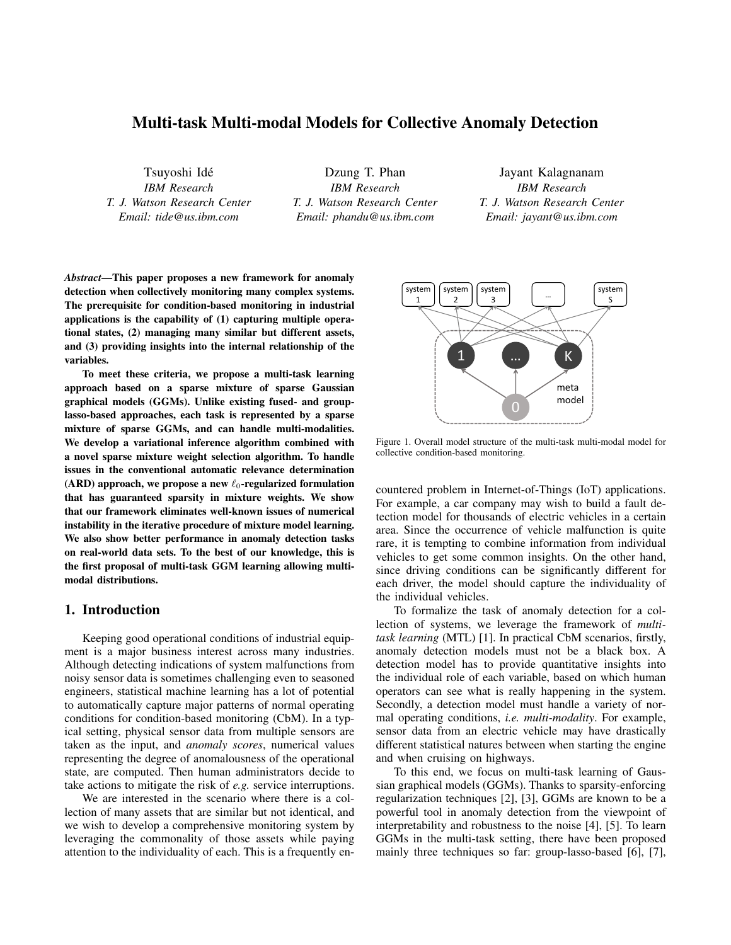# Multi-task Multi-modal Models for Collective Anomaly Detection

Tsuyoshi Ide´ *IBM Research T. J. Watson Research Center Email: tide@us.ibm.com*

Dzung T. Phan *IBM Research T. J. Watson Research Center Email: phandu@us.ibm.com*

Jayant Kalagnanam *IBM Research T. J. Watson Research Center Email: jayant@us.ibm.com*

*Abstract*—This paper proposes a new framework for anomaly detection when collectively monitoring many complex systems. The prerequisite for condition-based monitoring in industrial applications is the capability of (1) capturing multiple operational states, (2) managing many similar but different assets, and (3) providing insights into the internal relationship of the variables.

To meet these criteria, we propose a multi-task learning approach based on a sparse mixture of sparse Gaussian graphical models (GGMs). Unlike existing fused- and grouplasso-based approaches, each task is represented by a sparse mixture of sparse GGMs, and can handle multi-modalities. We develop a variational inference algorithm combined with a novel sparse mixture weight selection algorithm. To handle issues in the conventional automatic relevance determination (ARD) approach, we propose a new  $\ell_0$ -regularized formulation that has guaranteed sparsity in mixture weights. We show that our framework eliminates well-known issues of numerical instability in the iterative procedure of mixture model learning. We also show better performance in anomaly detection tasks on real-world data sets. To the best of our knowledge, this is the first proposal of multi-task GGM learning allowing multimodal distributions.

# 1. Introduction

Keeping good operational conditions of industrial equipment is a major business interest across many industries. Although detecting indications of system malfunctions from noisy sensor data is sometimes challenging even to seasoned engineers, statistical machine learning has a lot of potential to automatically capture major patterns of normal operating conditions for condition-based monitoring (CbM). In a typical setting, physical sensor data from multiple sensors are taken as the input, and *anomaly scores*, numerical values representing the degree of anomalousness of the operational state, are computed. Then human administrators decide to take actions to mitigate the risk of *e.g.* service interruptions.

We are interested in the scenario where there is a collection of many assets that are similar but not identical, and we wish to develop a comprehensive monitoring system by leveraging the commonality of those assets while paying attention to the individuality of each. This is a frequently en-



Figure 1. Overall model structure of the multi-task multi-modal model for collective condition-based monitoring.

countered problem in Internet-of-Things (IoT) applications. For example, a car company may wish to build a fault detection model for thousands of electric vehicles in a certain area. Since the occurrence of vehicle malfunction is quite rare, it is tempting to combine information from individual vehicles to get some common insights. On the other hand, since driving conditions can be significantly different for each driver, the model should capture the individuality of the individual vehicles.

To formalize the task of anomaly detection for a collection of systems, we leverage the framework of *multitask learning* (MTL) [1]. In practical CbM scenarios, firstly, anomaly detection models must not be a black box. A detection model has to provide quantitative insights into the individual role of each variable, based on which human operators can see what is really happening in the system. Secondly, a detection model must handle a variety of normal operating conditions, *i.e. multi-modality*. For example, sensor data from an electric vehicle may have drastically different statistical natures between when starting the engine and when cruising on highways.

To this end, we focus on multi-task learning of Gaussian graphical models (GGMs). Thanks to sparsity-enforcing regularization techniques [2], [3], GGMs are known to be a powerful tool in anomaly detection from the viewpoint of interpretability and robustness to the noise [4], [5]. To learn GGMs in the multi-task setting, there have been proposed mainly three techniques so far: group-lasso-based [6], [7],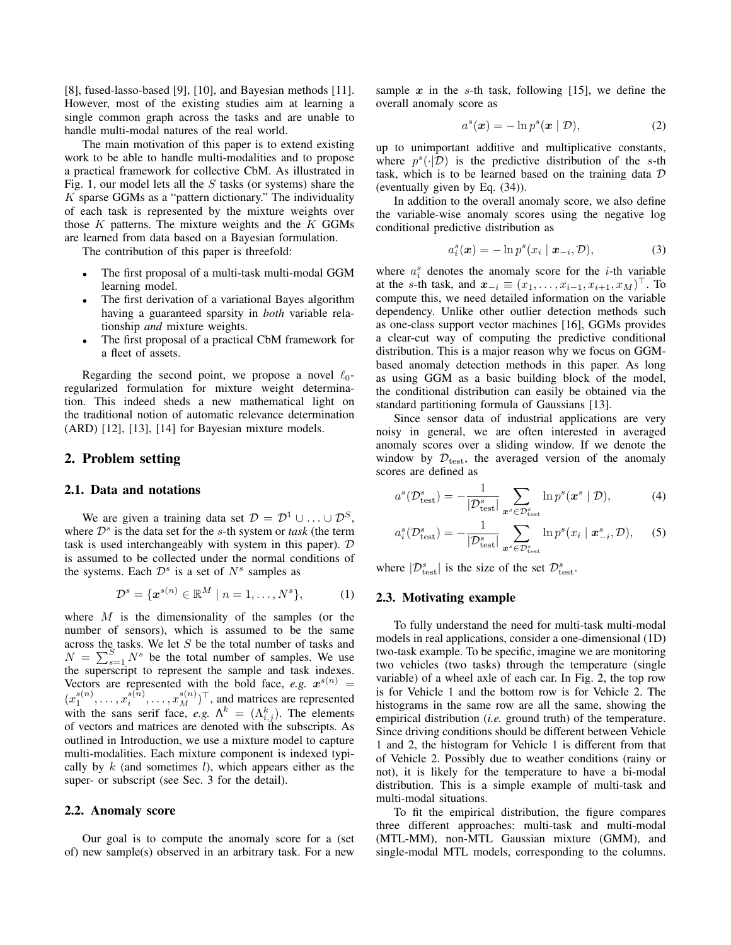[8], fused-lasso-based [9], [10], and Bayesian methods [11]. However, most of the existing studies aim at learning a single common graph across the tasks and are unable to handle multi-modal natures of the real world.

The main motivation of this paper is to extend existing work to be able to handle multi-modalities and to propose a practical framework for collective CbM. As illustrated in Fig. 1, our model lets all the  $S$  tasks (or systems) share the K sparse GGMs as a "pattern dictionary." The individuality of each task is represented by the mixture weights over those  $K$  patterns. The mixture weights and the  $K$  GGMs are learned from data based on a Bayesian formulation.

The contribution of this paper is threefold:

- The first proposal of a multi-task multi-modal GGM learning model.
- The first derivation of a variational Bayes algorithm having a guaranteed sparsity in *both* variable relationship *and* mixture weights.
- The first proposal of a practical CbM framework for a fleet of assets.

Regarding the second point, we propose a novel  $\ell_0$ regularized formulation for mixture weight determination. This indeed sheds a new mathematical light on the traditional notion of automatic relevance determination (ARD) [12], [13], [14] for Bayesian mixture models.

# 2. Problem setting

#### 2.1. Data and notations

We are given a training data set  $\mathcal{D} = \mathcal{D}^1 \cup ... \cup \mathcal{D}^S$ , where  $\mathcal{D}^s$  is the data set for the s-th system or *task* (the term task is used interchangeably with system in this paper). D is assumed to be collected under the normal conditions of the systems. Each  $\mathcal{D}^s$  is a set of  $N^s$  samples as

$$
\mathcal{D}^s = \{ \boldsymbol{x}^{s(n)} \in \mathbb{R}^M \mid n = 1, \dots, N^s \},\tag{1}
$$

where  $M$  is the dimensionality of the samples (or the number of sensors), which is assumed to be the same across the tasks. We let  $S$  be the total number of tasks and  $N = \sum_{s=1}^{S} N^s$  be the total number of samples. We use the superscript to represent the sample and task indexes. Vectors are represented with the bold face, *e.g.*  $x^{s(n)} =$  $(x_1^{s(n)},...,x_i^{s(n)},...,x_M^{s(n)})^\top$ , and matrices are represented with the sans serif face, *e.g.*  $\Lambda^k = (\Lambda^k_{i,j})$ . The elements of vectors and matrices are denoted with the subscripts. As outlined in Introduction, we use a mixture model to capture multi-modalities. Each mixture component is indexed typically by  $k$  (and sometimes  $l$ ), which appears either as the super- or subscript (see Sec. 3 for the detail).

#### 2.2. Anomaly score

Our goal is to compute the anomaly score for a (set of) new sample(s) observed in an arbitrary task. For a new sample  $x$  in the s-th task, following [15], we define the overall anomaly score as

$$
a^{s}(\boldsymbol{x}) = -\ln p^{s}(\boldsymbol{x} \mid \mathcal{D}), \qquad (2)
$$

up to unimportant additive and multiplicative constants, where  $p^{s}(\cdot|\mathcal{D})$  is the predictive distribution of the s-th task, which is to be learned based on the training data  $D$ (eventually given by Eq. (34)).

In addition to the overall anomaly score, we also define the variable-wise anomaly scores using the negative log conditional predictive distribution as

$$
a_i^s(\boldsymbol{x}) = -\ln p^s(x_i \mid \boldsymbol{x}_{-i}, \mathcal{D}), \tag{3}
$$

where  $a_i^s$  denotes the anomaly score for the *i*-th variable at the s-th task, and  $\mathbf{x}_{-i} \equiv (x_1, \ldots, x_{i-1}, x_{i+1}, x_M)^\top$ . To compute this, we need detailed information on the variable dependency. Unlike other outlier detection methods such as one-class support vector machines [16], GGMs provides a clear-cut way of computing the predictive conditional distribution. This is a major reason why we focus on GGMbased anomaly detection methods in this paper. As long as using GGM as a basic building block of the model, the conditional distribution can easily be obtained via the standard partitioning formula of Gaussians [13].

Since sensor data of industrial applications are very noisy in general, we are often interested in averaged anomaly scores over a sliding window. If we denote the window by  $\mathcal{D}_{\text{test}}$ , the averaged version of the anomaly scores are defined as

$$
a^{s}(\mathcal{D}_{\text{test}}^{s}) = -\frac{1}{|\mathcal{D}_{\text{test}}^{s}|} \sum_{\mathbf{x}^{s} \in \mathcal{D}_{\text{test}}^{s}} \ln p^{s}(\mathbf{x}^{s} | \mathcal{D}), \tag{4}
$$

$$
a_i^s(\mathcal{D}_{\text{test}}^s) = -\frac{1}{|\mathcal{D}_{\text{test}}^s|} \sum_{\mathbf{x}^s \in \mathcal{D}_{\text{test}}^s} \ln p^s(x_i \mid \mathbf{x}_{-i}^s, \mathcal{D}), \quad (5)
$$

where  $|\mathcal{D}_{\text{test}}^s|$  is the size of the set  $\mathcal{D}_{\text{test}}^s$ .

# 2.3. Motivating example

To fully understand the need for multi-task multi-modal models in real applications, consider a one-dimensional (1D) two-task example. To be specific, imagine we are monitoring two vehicles (two tasks) through the temperature (single variable) of a wheel axle of each car. In Fig. 2, the top row is for Vehicle 1 and the bottom row is for Vehicle 2. The histograms in the same row are all the same, showing the empirical distribution (*i.e.* ground truth) of the temperature. Since driving conditions should be different between Vehicle 1 and 2, the histogram for Vehicle 1 is different from that of Vehicle 2. Possibly due to weather conditions (rainy or not), it is likely for the temperature to have a bi-modal distribution. This is a simple example of multi-task and multi-modal situations.

To fit the empirical distribution, the figure compares three different approaches: multi-task and multi-modal (MTL-MM), non-MTL Gaussian mixture (GMM), and single-modal MTL models, corresponding to the columns.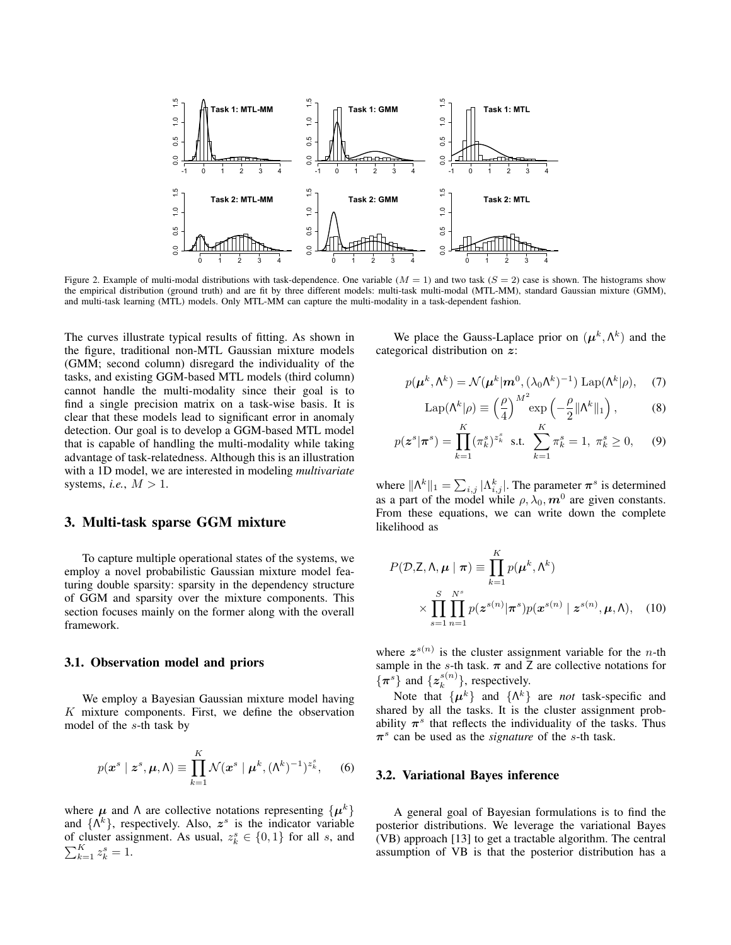

Figure 2. Example of multi-modal distributions with task-dependence. One variable  $(M = 1)$  and two task  $(S = 2)$  case is shown. The histograms show the empirical distribution (ground truth) and are fit by three different models: multi-task multi-modal (MTL-MM), standard Gaussian mixture (GMM), and multi-task learning (MTL) models. Only MTL-MM can capture the multi-modality in a task-dependent fashion.

The curves illustrate typical results of fitting. As shown in the figure, traditional non-MTL Gaussian mixture models (GMM; second column) disregard the individuality of the tasks, and existing GGM-based MTL models (third column) cannot handle the multi-modality since their goal is to find a single precision matrix on a task-wise basis. It is clear that these models lead to significant error in anomaly detection. Our goal is to develop a GGM-based MTL model that is capable of handling the multi-modality while taking advantage of task-relatedness. Although this is an illustration with a 1D model, we are interested in modeling *multivariate* systems, *i.e.*,  $M > 1$ .

#### 3. Multi-task sparse GGM mixture

To capture multiple operational states of the systems, we employ a novel probabilistic Gaussian mixture model featuring double sparsity: sparsity in the dependency structure of GGM and sparsity over the mixture components. This section focuses mainly on the former along with the overall framework.

### 3.1. Observation model and priors

We employ a Bayesian Gaussian mixture model having  $K$  mixture components. First, we define the observation model of the s-th task by

$$
p(\mathbf{x}^s \mid \mathbf{z}^s, \boldsymbol{\mu}, \boldsymbol{\Lambda}) \equiv \prod_{k=1}^K \mathcal{N}(\mathbf{x}^s \mid \boldsymbol{\mu}^k, (\boldsymbol{\Lambda}^k)^{-1})^{z_k^s}, \qquad (6)
$$

where  $\mu$  and  $\Lambda$  are collective notations representing  $\{\mu^k\}$ and  $\{\Lambda^k\}$ , respectively. Also,  $z^s$  is the indicator variable of cluster assignment. As usual,  $z_k^s$  $\sum$ cluster assignment. As usual,  $z_k^s \in \{0, 1\}$  for all s, and  $\frac{K}{k-1} z_k^s = 1$ .

We place the Gauss-Laplace prior on  $(\mu^k, \Lambda^k)$  and the categorical distribution on  $\overline{z}$ :

$$
p(\boldsymbol{\mu}^k, \boldsymbol{\Lambda}^k) = \mathcal{N}(\boldsymbol{\mu}^k | \boldsymbol{m}^0, (\lambda_0 \boldsymbol{\Lambda}^k)^{-1}) \operatorname{Lap}(\boldsymbol{\Lambda}^k | \rho), \quad (7)
$$

$$
\text{Lap}(\Lambda^k|\rho) \equiv \left(\frac{\rho}{4}\right)^{M^2} \exp\left(-\frac{\rho}{2} \|\Lambda^k\|_1\right),\tag{8}
$$

$$
p(\boldsymbol{z}^s | \boldsymbol{\pi}^s) = \prod_{k=1}^K (\pi_k^s)^{z_k^s} \text{ s.t. } \sum_{k=1}^K \pi_k^s = 1, \ \pi_k^s \ge 0, \qquad (9)
$$

where  $\|\Lambda^k\|_1 = \sum_{i,j} |\Lambda_{i,j}^k|$ . The parameter  $\pi^s$  is determined as a part of the model while  $\rho, \lambda_0, m^0$  are given constants. From these equations, we can write down the complete likelihood as

$$
P(\mathcal{D}, \mathsf{Z}, \Lambda, \mu \mid \boldsymbol{\pi}) \equiv \prod_{k=1}^{K} p(\boldsymbol{\mu}^{k}, \Lambda^{k})
$$

$$
\times \prod_{s=1}^{S} \prod_{n=1}^{N^{s}} p(\boldsymbol{z}^{s(n)} | \boldsymbol{\pi}^{s}) p(\boldsymbol{x}^{s(n)} | \boldsymbol{z}^{s(n)}, \mu, \Lambda), \quad (10)
$$

where  $z^{s(n)}$  is the cluster assignment variable for the *n*-th sample in the s-th task.  $\pi$  and Z are collective notations for  $\{\pi^s\}$  and  $\{z_k^{s(n)}\}$  ${k^{(n)}}$ }, respectively.

Note that  $\{\mu^k\}$  and  $\{\Lambda^k\}$  are *not* task-specific and shared by all the tasks. It is the cluster assignment probability  $\pi^s$  that reflects the individuality of the tasks. Thus  $\pi^s$  can be used as the *signature* of the s-th task.

### 3.2. Variational Bayes inference

A general goal of Bayesian formulations is to find the posterior distributions. We leverage the variational Bayes (VB) approach [13] to get a tractable algorithm. The central assumption of VB is that the posterior distribution has a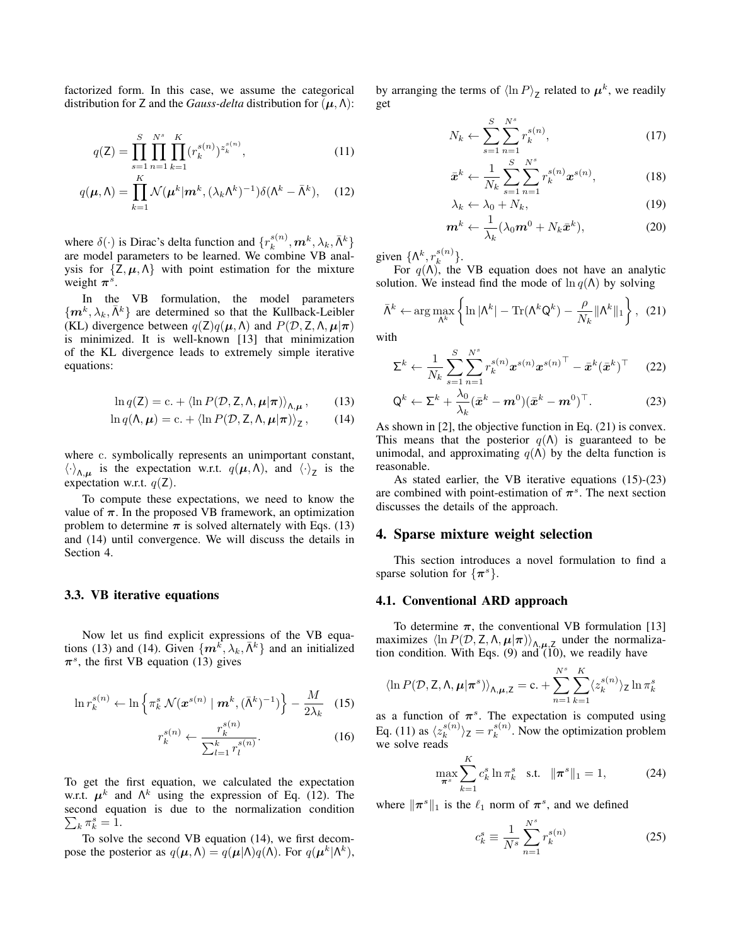factorized form. In this case, we assume the categorical distribution for Z and the *Gauss-delta* distribution for  $(\mu, \Lambda)$ :

$$
q(\mathbf{Z}) = \prod_{s=1}^{S} \prod_{n=1}^{N^s} \prod_{k=1}^{K} (r_k^{s(n)})^{z_k^{s(n)}},
$$
\n(11)

$$
q(\boldsymbol{\mu}, \boldsymbol{\Lambda}) = \prod_{k=1}^{K} \mathcal{N}(\boldsymbol{\mu}^{k} | \boldsymbol{m}^{k}, (\lambda_{k} \boldsymbol{\Lambda}^{k})^{-1}) \delta(\boldsymbol{\Lambda}^{k} - \bar{\boldsymbol{\Lambda}}^{k}), \quad (12)
$$

where  $\delta(\cdot)$  is Dirac's delta function and  $\{r_k^{s(n)}\}$  $_{k}^{s(n)},$   $\bm{m}^{k},$   $\lambda_{k},$   $\bar{\mathsf{\Lambda}}^{k}\}$ are model parameters to be learned. We combine VB analysis for  $\{Z, \mu, \Lambda\}$  with point estimation for the mixture weight  $\pi^s$ .

In the VB formulation, the model parameters  $\{m^k, \lambda_k, \bar{\Lambda}^k\}$  are determined so that the Kullback-Leibler (KL) divergence between  $q(\text{Z})q(\mu, \Lambda)$  and  $P(\mathcal{D}, \text{Z}, \Lambda, \mu | \pi)$ is minimized. It is well-known [13] that minimization of the KL divergence leads to extremely simple iterative equations:

$$
\ln q(\mathbf{Z}) = \mathbf{c} + \langle \ln P(\mathcal{D}, \mathbf{Z}, \mathbf{A}, \boldsymbol{\mu} | \boldsymbol{\pi}) \rangle_{\mathbf{A}, \boldsymbol{\mu}}, \qquad (13)
$$

$$
\ln q(\mathbf{\Lambda}, \mathbf{\mu}) = \mathbf{c} + \langle \ln P(\mathcal{D}, \mathbf{Z}, \mathbf{\Lambda}, \mathbf{\mu} | \boldsymbol{\pi}) \rangle_{\mathbf{Z}}, \qquad (14)
$$

where c. symbolically represents an unimportant constant,  $\langle \cdot \rangle_{\Lambda,\mu}$  is the expectation w.r.t.  $q(\mu,\Lambda)$ , and  $\langle \cdot \rangle_Z$  is the expectation w.r.t.  $q(\mathsf{Z})$ .

To compute these expectations, we need to know the value of  $\pi$ . In the proposed VB framework, an optimization problem to determine  $\pi$  is solved alternately with Eqs. (13) and (14) until convergence. We will discuss the details in Section 4.

# 3.3. VB iterative equations

Now let us find explicit expressions of the VB equations (13) and (14). Given  $\{m^k, \lambda_k, \bar{\Lambda}^k\}$  and an initialized  $\pi^s$ , the first VB equation (13) gives

$$
\ln r_k^{s(n)} \leftarrow \ln \left\{ \pi_k^s \mathcal{N}(\boldsymbol{x}^{s(n)} \mid \boldsymbol{m}^k, (\bar{\Lambda}^k)^{-1}) \right\} - \frac{M}{2\lambda_k} \quad (15)
$$

$$
r_k^{s(n)} \leftarrow \frac{r_k^{s(n)}}{\sum_{l=1}^k r_l^{s(n)}}. \quad (16)
$$

To get the first equation, we calculated the expectation w.r.t.  $\mu^k$  and  $\Lambda^k$  using the expression of Eq. (12). The second equation is due to the normalization condition  $\sum_k \pi_k^s = 1.$ 

To solve the second VB equation (14), we first decompose the posterior as  $q(\mu, \Lambda) = q(\mu | \Lambda) q(\Lambda)$ . For  $q(\mu^k | \Lambda^k)$ ,

by arranging the terms of  $\langle \ln P \rangle$ <sub>Z</sub> related to  $\mu^k$ , we readily get

$$
N_k \leftarrow \sum_{s=1}^{S} \sum_{n=1}^{N^s} r_k^{s(n)},
$$
\n(17)

$$
\bar{x}^{k} \leftarrow \frac{1}{N_{k}} \sum_{s=1}^{S} \sum_{n=1}^{N^{s}} r_{k}^{s(n)} \boldsymbol{x}^{s(n)},
$$
 (18)

$$
\lambda_k \leftarrow \lambda_0 + N_k, \tag{19}
$$

$$
\boldsymbol{m}^k \leftarrow \frac{1}{\lambda_k} (\lambda_0 \boldsymbol{m}^0 + N_k \bar{\boldsymbol{x}}^k), \tag{20}
$$

given  $\{\Lambda^k, r_k^{s(n)}\}$  $\genfrac{\{}{\}}{0pt}{}{s(n)}{k}.$ 

For  $q(\Lambda)$ , the VB equation does not have an analytic solution. We instead find the mode of  $\ln q(\Lambda)$  by solving

$$
\bar{\Lambda}^k \leftarrow \arg \max_{\Lambda^k} \left\{ \ln |\Lambda^k| - \text{Tr}(\Lambda^k \mathsf{Q}^k) - \frac{\rho}{N_k} \|\Lambda^k\|_1 \right\}, \tag{21}
$$

with

$$
\Sigma^{k} \leftarrow \frac{1}{N_k} \sum_{s=1}^{S} \sum_{n=1}^{N^s} r_k^{s(n)} \boldsymbol{x}^{s(n)} \boldsymbol{x}^{s(n) \top} - \bar{\boldsymbol{x}}^k (\bar{\boldsymbol{x}}^k)^\top \qquad (22)
$$

$$
\mathbf{Q}^k \leftarrow \Sigma^k + \frac{\lambda_0}{\lambda_k} (\bar{\boldsymbol{x}}^k - \boldsymbol{m}^0) (\bar{\boldsymbol{x}}^k - \boldsymbol{m}^0)^\top. \tag{23}
$$

As shown in [2], the objective function in Eq. (21) is convex. This means that the posterior  $q(\Lambda)$  is guaranteed to be unimodal, and approximating  $q(\Lambda)$  by the delta function is reasonable.

As stated earlier, the VB iterative equations (15)-(23) are combined with point-estimation of  $\pi^s$ . The next section discusses the details of the approach.

#### 4. Sparse mixture weight selection

This section introduces a novel formulation to find a sparse solution for  $\{\pi^s\}.$ 

#### 4.1. Conventional ARD approach

To determine  $\pi$ , the conventional VB formulation [13] maximizes  $\langle \ln P(D, Z, \Lambda, \mu|\pi) \rangle_{\Lambda, \mu, Z}$  under the normalization condition. With Eqs.  $(9)$  and  $(10)$ , we readily have

$$
\langle \ln P(\mathcal{D}, \mathsf{Z}, \Lambda, \boldsymbol{\mu} | \boldsymbol{\pi}^s) \rangle_{\Lambda, \boldsymbol{\mu}, \mathsf{Z}} = \mathbf{c}.\ + \sum_{n=1}^{N^s} \sum_{k=1}^K \langle z_k^{s(n)} \rangle_{\mathsf{Z}} \ln \pi_k^s
$$

as a function of  $\pi^s$ . The expectation is computed using Eq. (11) as  $\langle z_k^{s(n)} \rangle$  $\binom{s(n)}{k}$ z =  $r_k^{s(n)}$  $k^{s(n)}$ . Now the optimization problem we solve reads

$$
\max_{\boldsymbol{\pi}^s} \sum_{k=1}^K c_k^s \ln \pi_k^s \quad \text{s.t.} \quad \|\boldsymbol{\pi}^s\|_1 = 1,\tag{24}
$$

where  $\|\pi^s\|_1$  is the  $\ell_1$  norm of  $\pi^s$ , and we defined

$$
c_k^s \equiv \frac{1}{N^s} \sum_{n=1}^{N^s} r_k^{s(n)}
$$
 (25)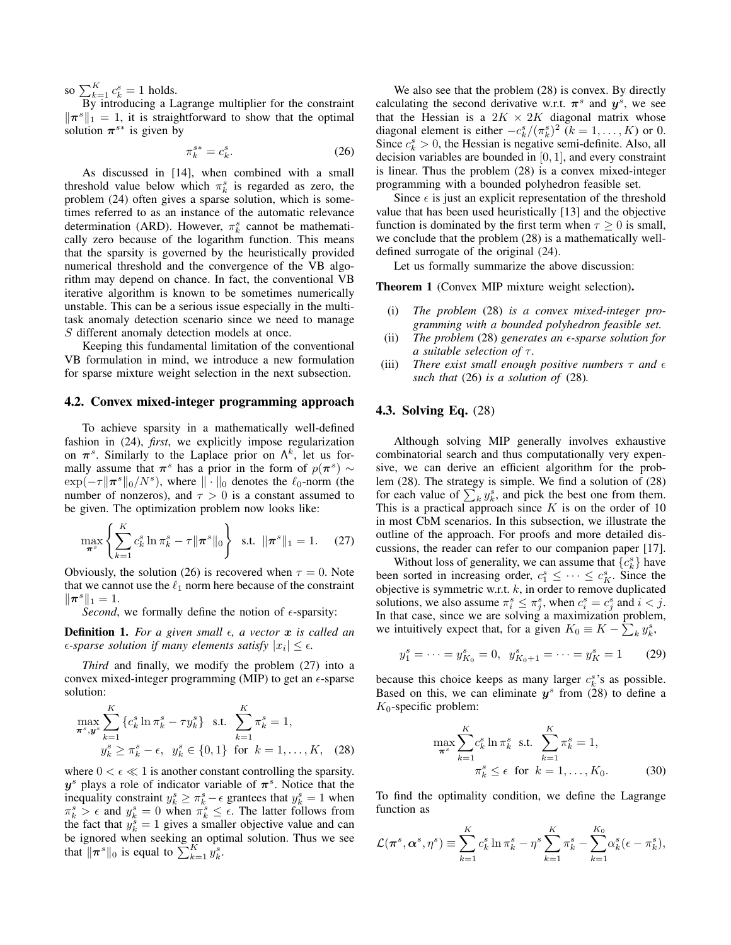so  $\sum_{k=1}^{K} c_k^s = 1$  holds.

By introducing a Lagrange multiplier for the constraint  $\|\boldsymbol{\pi}^s\|_1 = 1$ , it is straightforward to show that the optimal solution  $\pi^{s*}$  is given by

$$
\pi_k^{s*} = c_k^s. \tag{26}
$$

As discussed in [14], when combined with a small threshold value below which  $\pi_k^s$  is regarded as zero, the problem (24) often gives a sparse solution, which is sometimes referred to as an instance of the automatic relevance determination (ARD). However,  $\pi_k^s$  cannot be mathematically zero because of the logarithm function. This means that the sparsity is governed by the heuristically provided numerical threshold and the convergence of the VB algorithm may depend on chance. In fact, the conventional VB iterative algorithm is known to be sometimes numerically unstable. This can be a serious issue especially in the multitask anomaly detection scenario since we need to manage S different anomaly detection models at once.

Keeping this fundamental limitation of the conventional VB formulation in mind, we introduce a new formulation for sparse mixture weight selection in the next subsection.

#### 4.2. Convex mixed-integer programming approach

To achieve sparsity in a mathematically well-defined fashion in (24), *first*, we explicitly impose regularization on  $\pi^s$ . Similarly to the Laplace prior on  $\Lambda^k$ , let us formally assume that  $\pi^s$  has a prior in the form of  $p(\pi^s) \sim$  $\exp(-\tau \|\boldsymbol{\pi}^s\|_0/N^s)$ , where  $\|\cdot\|_0$  denotes the  $\ell_0$ -norm (the number of nonzeros), and  $\tau > 0$  is a constant assumed to be given. The optimization problem now looks like:

$$
\max_{\boldsymbol{\pi}^s} \left\{ \sum_{k=1}^K c_k^s \ln \pi_k^s - \tau \|\boldsymbol{\pi}^s\|_0 \right\} \text{ s.t. } \|\boldsymbol{\pi}^s\|_1 = 1. \tag{27}
$$

Obviously, the solution (26) is recovered when  $\tau = 0$ . Note that we cannot use the  $\ell_1$  norm here because of the constraint  $\|\boldsymbol{\pi}^s\|_1 = 1.$ 

*Second*, we formally define the notion of  $\epsilon$ -sparsity:

**Definition 1.** For a given small  $\epsilon$ , a vector x is called an  $\epsilon$ -sparse solution if many elements satisfy  $|x_i| \leq \epsilon$ .

*Third* and finally, we modify the problem (27) into a convex mixed-integer programming (MIP) to get an  $\epsilon$ -sparse solution:

$$
\max_{\pi^s, y^s} \sum_{k=1}^K \{c_k^s \ln \pi_k^s - \tau y_k^s\} \text{ s.t. } \sum_{k=1}^K \pi_k^s = 1, \ny_k^s \ge \pi_k^s - \epsilon, \ y_k^s \in \{0, 1\} \text{ for } k = 1, ..., K, (28)
$$

where  $0 < \epsilon \ll 1$  is another constant controlling the sparsity.  $y^s$  plays a role of indicator variable of  $\pi^s$ . Notice that the inequality constraint  $y_k^s \geq \pi_k^s - \epsilon$  grantees that  $y_k^s = 1$  when  $\pi_k^s > \epsilon$  and  $y_k^s = 0$  when  $\pi_k^s \leq \epsilon$ . The latter follows from the fact that  $y_k^s = 1$  gives a smaller objective value and can be ignored when seeking an optimal solution. Thus we see that  $\|\boldsymbol{\pi}^s\|_0$  is equal to  $\sum_{k=1}^K y_k^s$ .

We also see that the problem  $(28)$  is convex. By directly calculating the second derivative w.r.t.  $\pi^s$  and  $y^s$ , we see that the Hessian is a  $2K \times 2K$  diagonal matrix whose diagonal element is either  $-c_k^s/(\pi_k^s)^2$   $(k = 1, ..., K)$  or 0. Since  $c_k^s > 0$ , the Hessian is negative semi-definite. Also, all decision variables are bounded in  $[0, 1]$ , and every constraint is linear. Thus the problem (28) is a convex mixed-integer programming with a bounded polyhedron feasible set.

Since  $\epsilon$  is just an explicit representation of the threshold value that has been used heuristically [13] and the objective function is dominated by the first term when  $\tau \geq 0$  is small, we conclude that the problem (28) is a mathematically welldefined surrogate of the original (24).

Let us formally summarize the above discussion:

Theorem 1 (Convex MIP mixture weight selection).

- (i) *The problem* (28) *is a convex mixed-integer programming with a bounded polyhedron feasible set.*
- (ii) *The problem* (28) *generates an -sparse solution for a suitable selection of* τ *.*
- (iii) *There exist small enough positive numbers*  $\tau$  *and*  $\epsilon$ *such that* (26) *is a solution of* (28)*.*

# 4.3. Solving Eq. (28)

Although solving MIP generally involves exhaustive combinatorial search and thus computationally very expensive, we can derive an efficient algorithm for the problem (28). The strategy is simple. We find a solution of (28) for each value of  $\sum_k y_k^s$ , and pick the best one from them. This is a practical approach since  $K$  is on the order of 10 in most CbM scenarios. In this subsection, we illustrate the outline of the approach. For proofs and more detailed discussions, the reader can refer to our companion paper [17].

Without loss of generality, we can assume that  ${c_k^s}$  have been sorted in increasing order,  $c_1^s \leq \cdots \leq c_K^s$ . Since the objective is symmetric w.r.t.  $k$ , in order to remove duplicated solutions, we also assume  $\pi_i^s \leq \pi_j^s$ , when  $c_i^s = c_j^s$  and  $i < j$ . In that case, since we are solving a maximization problem, we intuitively expect that, for a given  $K_0 \equiv K - \sum_k y_k^s$ ,

$$
y_1^s = \dots = y_{K_0}^s = 0, \ \ y_{K_0+1}^s = \dots = y_K^s = 1
$$
 (29)

because this choice keeps as many larger  $c_k^s$ 's as possible. Based on this, we can eliminate  $y^s$  from (28) to define a  $K_0$ -specific problem:

$$
\max_{\pi^s} \sum_{k=1}^K c_k^s \ln \pi_k^s \text{ s.t. } \sum_{k=1}^K \pi_k^s = 1,\pi_k^s \le \epsilon \text{ for } k = 1, ..., K_0.
$$
\n(30)

To find the optimality condition, we define the Lagrange function as

$$
\mathcal{L}(\boldsymbol{\pi}^s, \boldsymbol{\alpha}^s, \eta^s) \equiv \sum_{k=1}^K c_k^s \ln \pi_k^s - \eta^s \sum_{k=1}^K \pi_k^s - \sum_{k=1}^{K_0} \alpha_k^s (\epsilon - \pi_k^s),
$$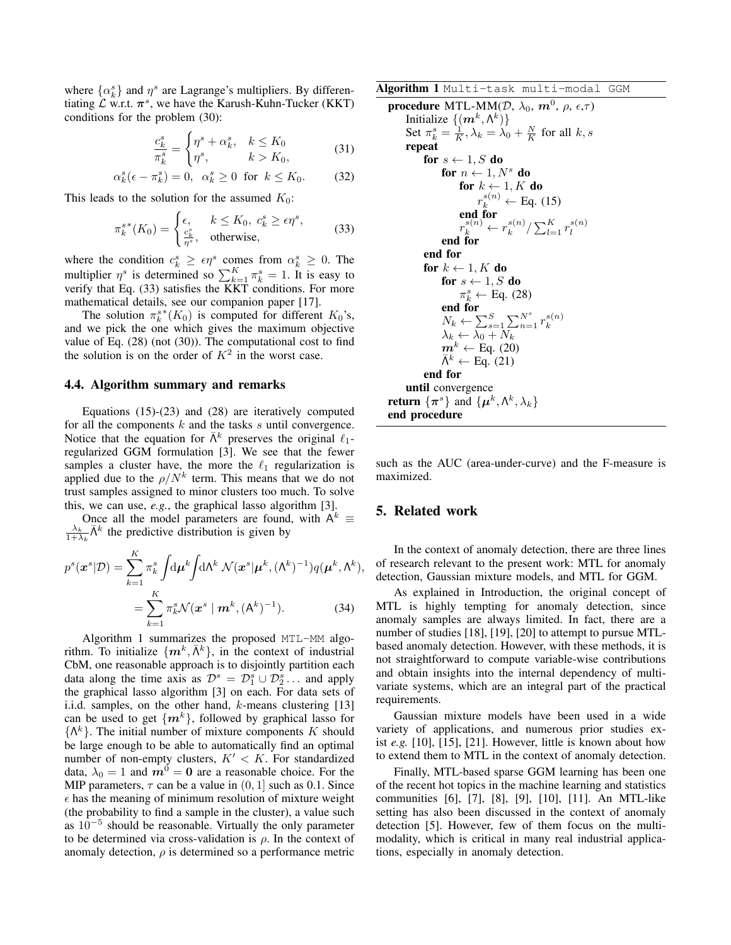where  $\{\alpha_k^s\}$  and  $\eta^s$  are Lagrange's multipliers. By differentiating  $\mathcal L$  w.r.t.  $\pi^s$ , we have the Karush-Kuhn-Tucker (KKT) conditions for the problem (30):

$$
\frac{c_k^s}{\pi_k^s} = \begin{cases} \eta^s + \alpha_k^s, & k \le K_0 \\ \eta^s, & k > K_0, \end{cases}
$$
 (31)

$$
\alpha_k^s(\epsilon - \pi_k^s) = 0, \ \alpha_k^s \ge 0 \ \text{for} \ k \le K_0. \tag{32}
$$

This leads to the solution for the assumed  $K_0$ :

$$
\pi_k^{s*}(K_0) = \begin{cases} \epsilon, & k \le K_0, \ c_k^s \ge \epsilon \eta^s, \\ \frac{c_k^s}{\eta^s}, & \text{otherwise,} \end{cases}
$$
 (33)

where the condition  $c_k^s \geq \epsilon \eta^s$  comes from  $\alpha_k^s \geq 0$ . The multiplier  $\eta^s$  is determined so  $\sum_{k=1}^K \pi_k^s = 1$ . It is easy to verify that Eq. (33) satisfies the KKT conditions. For more mathematical details, see our companion paper [17].

The solution  $\pi_k^{s*}(K_0)$  is computed for different  $K_0$ 's, and we pick the one which gives the maximum objective value of Eq. (28) (not (30)). The computational cost to find the solution is on the order of  $K^2$  in the worst case.

### 4.4. Algorithm summary and remarks

Equations (15)-(23) and (28) are iteratively computed for all the components  $k$  and the tasks  $s$  until convergence. Notice that the equation for  $\bar{\Lambda}^k$  preserves the original  $\ell_1$ regularized GGM formulation [3]. We see that the fewer samples a cluster have, the more the  $\ell_1$  regularization is applied due to the  $\rho/N^k$  term. This means that we do not trust samples assigned to minor clusters too much. To solve this, we can use, *e.g.*, the graphical lasso algorithm [3].

Once all the model parameters are found, with  $A^k \equiv$  $\frac{\lambda_k}{1+\lambda_k} \bar{\Lambda}^k$  the predictive distribution is given by

$$
p^{s}(\boldsymbol{x}^{s}|\mathcal{D}) = \sum_{k=1}^{K} \pi_{k}^{s} \int d\boldsymbol{\mu}^{k} \int d\Lambda^{k} \mathcal{N}(\boldsymbol{x}^{s}|\boldsymbol{\mu}^{k}, (\Lambda^{k})^{-1}) q(\boldsymbol{\mu}^{k}, \Lambda^{k}),
$$

$$
= \sum_{k=1}^{K} \pi_{k}^{s} \mathcal{N}(\boldsymbol{x}^{s} | \boldsymbol{m}^{k}, (\mathsf{A}^{k})^{-1}). \tag{34}
$$

Algorithm 1 summarizes the proposed MTL-MM algorithm. To initialize  $\{m^k, \bar{\Lambda}^k\}$ , in the context of industrial CbM, one reasonable approach is to disjointly partition each data along the time axis as  $\mathcal{D}^s = \mathcal{D}_1^s \cup \mathcal{D}_2^s \dots$  and apply the graphical lasso algorithm [3] on each. For data sets of i.i.d. samples, on the other hand, k-means clustering [13] can be used to get  $\{m^k\}$ , followed by graphical lasso for  $\{\Lambda^k\}$ . The initial number of mixture components K should be large enough to be able to automatically find an optimal number of non-empty clusters,  $K' < K$ . For standardized data,  $\lambda_0 = 1$  and  $m^0 = 0$  are a reasonable choice. For the MIP parameters,  $\tau$  can be a value in  $(0, 1]$  such as 0.1. Since  $\epsilon$  has the meaning of minimum resolution of mixture weight (the probability to find a sample in the cluster), a value such as  $10^{-5}$  should be reasonable. Virtually the only parameter to be determined via cross-validation is  $\rho$ . In the context of anomaly detection,  $\rho$  is determined so a performance metric

| Algorithm 1 Multi-task multi-modal GGM |  |
|----------------------------------------|--|
|----------------------------------------|--|

```
procedure MTL-MM(D, \lambda_0, \boldsymbol{m}^0, \rho, \epsilon,\tau)
       Initialize \{(\boldsymbol{m}^k, \Lambda^k)\}Set \pi_k^s = \frac{1}{K}, \lambda_k = \lambda_0 + \frac{N}{K} for all k, srepeat
             for s \leftarrow 1, S do
                    for n \leftarrow 1, N^s do
                           for k \leftarrow 1, K do
                                  r_k^{s(n)} \leftarrow Eq. (15)
                           end for
                           r_k^{s(n)} \leftarrow r_k^{s(n)}\binom{s(n)}{k} / \sum_{l=1}^{K} r_l^{s(n)}l
                    end for
             end for
             for k \leftarrow 1, K do
                    for s \leftarrow 1, S do
                           \pi_k^s \leftarrow \text{Eq. (28)}end for
                     N_k \leftarrow \sum_{s=1}^S \sum_{n=1}^{N^s} r_k^{s(n)}\lambda_k \leftarrow \frac{\sum_{s=1}^{N} \sum_{n=1}^{n} k}{\lambda_k + \lambda_0 + N_k}m^k \leftarrow Eq. (20)
                    \bar{\Lambda}^k \leftarrow Eq. (21)
             end for
       until convergence
return \{\boldsymbol{\pi}^s\} and \{\boldsymbol{\mu}^k, \Lambda^k, \lambda_k\}end procedure
```
such as the AUC (area-under-curve) and the F-measure is maximized.

# 5. Related work

In the context of anomaly detection, there are three lines of research relevant to the present work: MTL for anomaly detection, Gaussian mixture models, and MTL for GGM.

As explained in Introduction, the original concept of MTL is highly tempting for anomaly detection, since anomaly samples are always limited. In fact, there are a number of studies [18], [19], [20] to attempt to pursue MTLbased anomaly detection. However, with these methods, it is not straightforward to compute variable-wise contributions and obtain insights into the internal dependency of multivariate systems, which are an integral part of the practical requirements.

Gaussian mixture models have been used in a wide variety of applications, and numerous prior studies exist *e.g.* [10], [15], [21]. However, little is known about how to extend them to MTL in the context of anomaly detection.

Finally, MTL-based sparse GGM learning has been one of the recent hot topics in the machine learning and statistics communities [6], [7], [8], [9], [10], [11]. An MTL-like setting has also been discussed in the context of anomaly detection [5]. However, few of them focus on the multimodality, which is critical in many real industrial applications, especially in anomaly detection.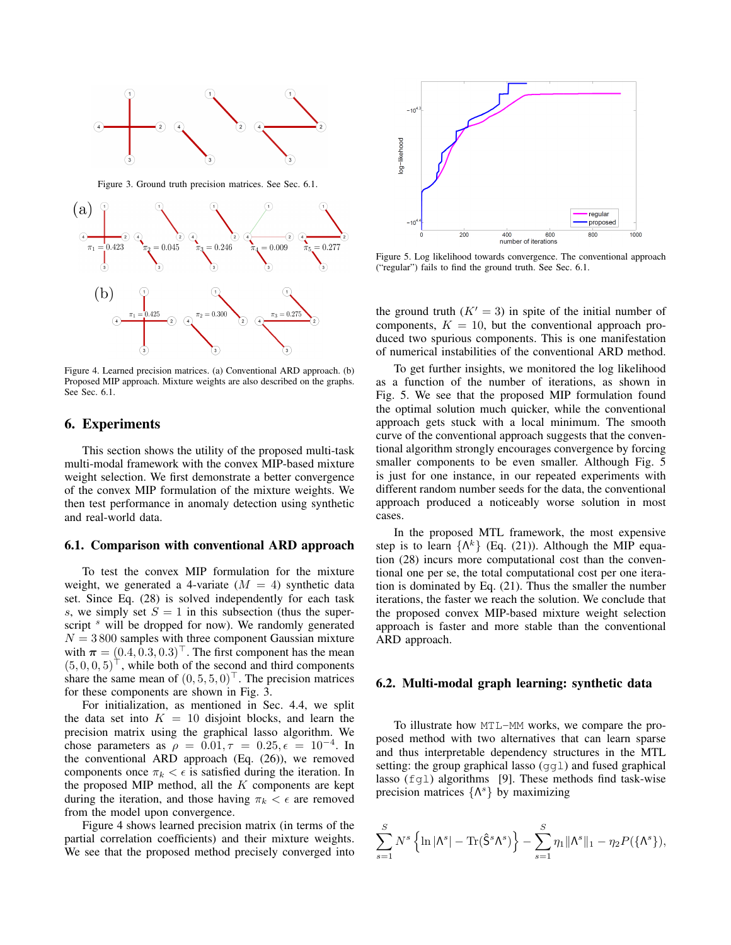

Figure 4. Learned precision matrices. (a) Conventional ARD approach. (b) Proposed MIP approach. Mixture weights are also described on the graphs. See Sec. 6.1.

### 6. Experiments

This section shows the utility of the proposed multi-task multi-modal framework with the convex MIP-based mixture weight selection. We first demonstrate a better convergence of the convex MIP formulation of the mixture weights. We then test performance in anomaly detection using synthetic and real-world data.

# 6.1. Comparison with conventional ARD approach

To test the convex MIP formulation for the mixture weight, we generated a 4-variate  $(M = 4)$  synthetic data set. Since Eq. (28) is solved independently for each task s, we simply set  $S = 1$  in this subsection (thus the superscript  $s$  will be dropped for now). We randomly generated  $N = 3800$  samples with three component Gaussian mixture with  $\pi = (0.4, 0.3, 0.3)^{\top}$ . The first component has the mean  $(5, 0, 0, 5)$ , while both of the second and third components share the same mean of  $(0, 5, 5, 0)$ <sup>T</sup>. The precision matrices for these components are shown in Fig. 3.

For initialization, as mentioned in Sec. 4.4, we split the data set into  $K = 10$  disjoint blocks, and learn the precision matrix using the graphical lasso algorithm. We chose parameters as  $\rho = 0.01, \tau = 0.25, \epsilon = 10^{-4}$ . In the conventional ARD approach (Eq. (26)), we removed components once  $\pi_k < \epsilon$  is satisfied during the iteration. In the proposed MIP method, all the  $K$  components are kept during the iteration, and those having  $\pi_k < \epsilon$  are removed from the model upon convergence.

Figure 4 shows learned precision matrix (in terms of the partial correlation coefficients) and their mixture weights. We see that the proposed method precisely converged into



Figure 5. Log likelihood towards convergence. The conventional approach ("regular") fails to find the ground truth. See Sec. 6.1.

the ground truth  $(K' = 3)$  in spite of the initial number of components,  $K = 10$ , but the conventional approach produced two spurious components. This is one manifestation of numerical instabilities of the conventional ARD method.

To get further insights, we monitored the log likelihood as a function of the number of iterations, as shown in Fig. 5. We see that the proposed MIP formulation found the optimal solution much quicker, while the conventional approach gets stuck with a local minimum. The smooth curve of the conventional approach suggests that the conventional algorithm strongly encourages convergence by forcing smaller components to be even smaller. Although Fig. 5 is just for one instance, in our repeated experiments with different random number seeds for the data, the conventional approach produced a noticeably worse solution in most cases.

In the proposed MTL framework, the most expensive step is to learn  $\{\Lambda^k\}$  (Eq. (21)). Although the MIP equation (28) incurs more computational cost than the conventional one per se, the total computational cost per one iteration is dominated by Eq. (21). Thus the smaller the number iterations, the faster we reach the solution. We conclude that the proposed convex MIP-based mixture weight selection approach is faster and more stable than the conventional ARD approach.

### 6.2. Multi-modal graph learning: synthetic data

To illustrate how MTL-MM works, we compare the proposed method with two alternatives that can learn sparse and thus interpretable dependency structures in the MTL setting: the group graphical lasso (ggl) and fused graphical lasso (fgl) algorithms [9]. These methods find task-wise precision matrices  $\{A^s\}$  by maximizing

$$
\sum_{s=1}^{S} N^s \left\{ \ln |\Lambda^s| - \text{Tr}(\hat{S}^s \Lambda^s) \right\} - \sum_{s=1}^{S} \eta_1 \|\Lambda^s\|_1 - \eta_2 P(\{\Lambda^s\}),
$$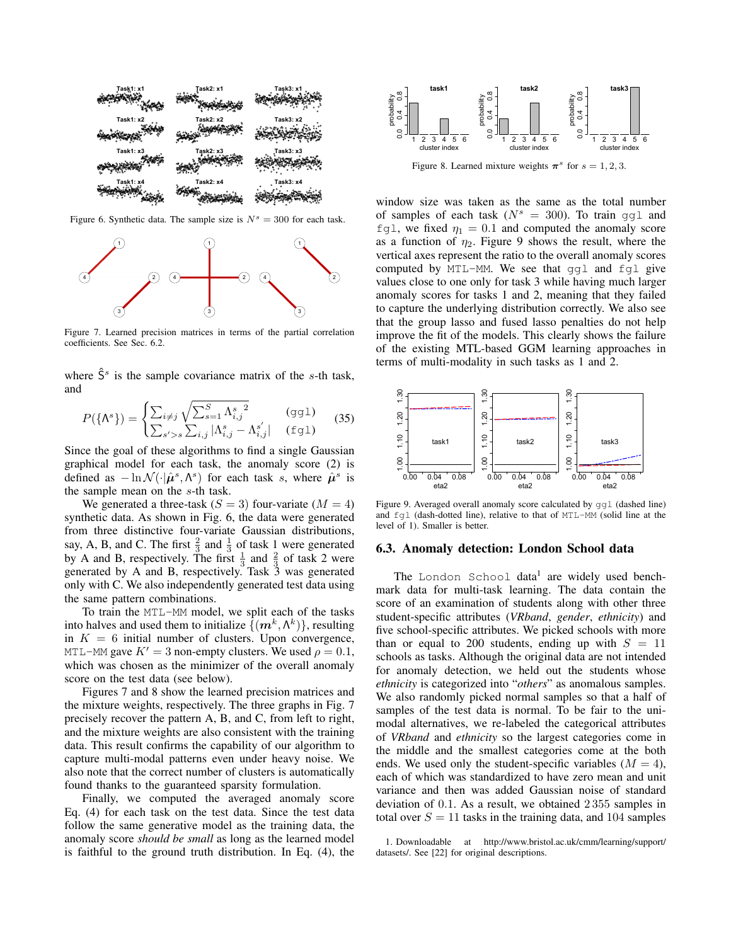

Figure 6. Synthetic data. The sample size is  $N<sup>s</sup> = 300$  for each task.



Figure 7. Learned precision matrices in terms of the partial correlation coefficients. See Sec. 6.2.

where  $\hat{S}^s$  is the sample covariance matrix of the s-th task, and

$$
P(\{\mathbf{\Lambda}^s\}) = \begin{cases} \sum_{i \neq j} \sqrt{\sum_{s=1}^S \Lambda_{i,j}^s}^2 & (\text{gg1})\\ \sum_{s' > s} \sum_{i,j} |\Lambda_{i,j}^s - \Lambda_{i,j}^{s'}| & (\text{fg1}) \end{cases}
$$
(35)

Since the goal of these algorithms to find a single Gaussian graphical model for each task, the anomaly score (2) is defined as  $-\ln\mathcal{N}(\cdot|\hat{\mu}^s, \Lambda^s)$  for each task s, where  $\hat{\mu}^s$  is the sample mean on the s-th task.

We generated a three-task  $(S = 3)$  four-variate  $(M = 4)$ synthetic data. As shown in Fig. 6, the data were generated from three distinctive four-variate Gaussian distributions, say, A, B, and C. The first  $\frac{2}{3}$  and  $\frac{1}{3}$  of task 1 were generated by A and B, respectively. The first  $\frac{1}{3}$  and  $\frac{2}{3}$  of task 2 were generated by A and B, respectively. Task 3 was generated only with C. We also independently generated test data using the same pattern combinations.

To train the MTL-MM model, we split each of the tasks into halves and used them to initialize  $\{(\boldsymbol{m}^k, \Lambda^k)\},$  resulting in  $K = 6$  initial number of clusters. Upon convergence, MTL-MM gave  $K' = 3$  non-empty clusters. We used  $\rho = 0.1$ , which was chosen as the minimizer of the overall anomaly score on the test data (see below).

Figures 7 and 8 show the learned precision matrices and the mixture weights, respectively. The three graphs in Fig. 7 precisely recover the pattern A, B, and C, from left to right, and the mixture weights are also consistent with the training data. This result confirms the capability of our algorithm to capture multi-modal patterns even under heavy noise. We also note that the correct number of clusters is automatically found thanks to the guaranteed sparsity formulation.

Finally, we computed the averaged anomaly score Eq. (4) for each task on the test data. Since the test data follow the same generative model as the training data, the anomaly score *should be small* as long as the learned model is faithful to the ground truth distribution. In Eq. (4), the



Figure 8. Learned mixture weights  $\pi^s$  for  $s = 1, 2, 3$ .

window size was taken as the same as the total number of samples of each task ( $N<sup>s</sup> = 300$ ). To train ggl and fgl, we fixed  $\eta_1 = 0.1$  and computed the anomaly score as a function of  $\eta_2$ . Figure 9 shows the result, where the vertical axes represent the ratio to the overall anomaly scores computed by MTL-MM. We see that ggl and fgl give values close to one only for task 3 while having much larger anomaly scores for tasks 1 and 2, meaning that they failed to capture the underlying distribution correctly. We also see that the group lasso and fused lasso penalties do not help improve the fit of the models. This clearly shows the failure of the existing MTL-based GGM learning approaches in terms of multi-modality in such tasks as 1 and 2.



Figure 9. Averaged overall anomaly score calculated by ggl (dashed line) and fgl (dash-dotted line), relative to that of MTL-MM (solid line at the level of 1). Smaller is better.

#### 6.3. Anomaly detection: London School data

The London School data<sup>1</sup> are widely used benchmark data for multi-task learning. The data contain the score of an examination of students along with other three student-specific attributes (*VRband*, *gender*, *ethnicity*) and five school-specific attributes. We picked schools with more than or equal to 200 students, ending up with  $S = 11$ schools as tasks. Although the original data are not intended for anomaly detection, we held out the students whose *ethnicity* is categorized into "*others*" as anomalous samples. We also randomly picked normal samples so that a half of samples of the test data is normal. To be fair to the unimodal alternatives, we re-labeled the categorical attributes of *VRband* and *ethnicity* so the largest categories come in the middle and the smallest categories come at the both ends. We used only the student-specific variables  $(M = 4)$ , each of which was standardized to have zero mean and unit variance and then was added Gaussian noise of standard deviation of 0.1. As a result, we obtained 2 355 samples in total over  $S = 11$  tasks in the training data, and 104 samples

1. Downloadable at http://www.bristol.ac.uk/cmm/learning/support/ datasets/. See [22] for original descriptions.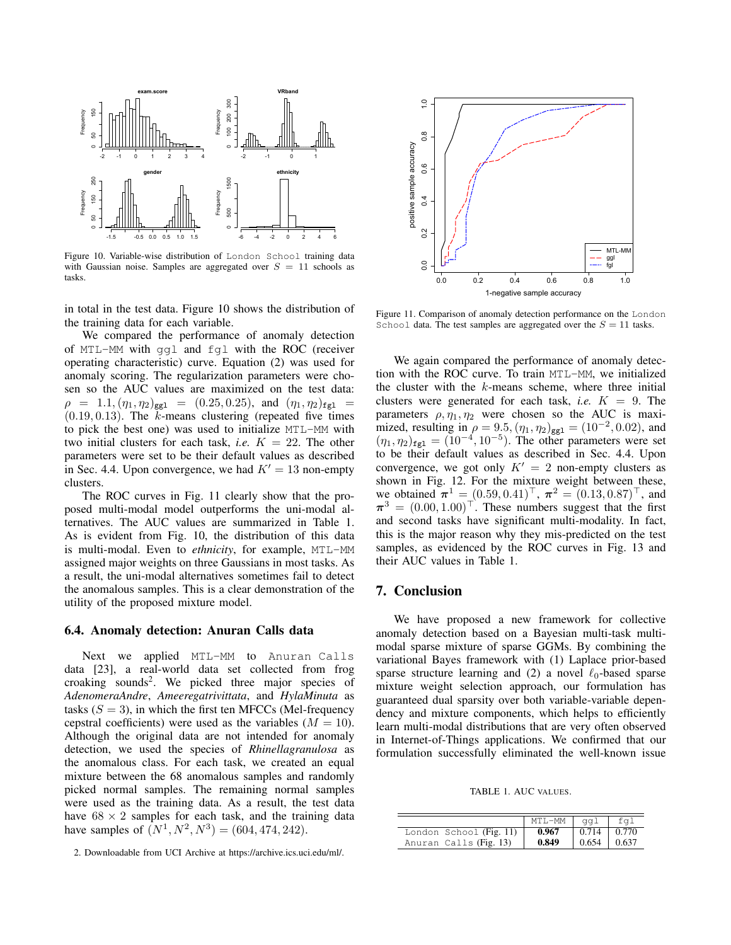

Figure 10. Variable-wise distribution of London School training data with Gaussian noise. Samples are aggregated over  $S = 11$  schools as tasks.

in total in the test data. Figure 10 shows the distribution of the training data for each variable.

We compared the performance of anomaly detection of MTL-MM with ggl and fgl with the ROC (receiver operating characteristic) curve. Equation (2) was used for anomaly scoring. The regularization parameters were chosen so the AUC values are maximized on the test data:  $\rho = 1.1, (\eta_1, \eta_2)_{gg1} = (0.25, 0.25)$ , and  $(\eta_1, \eta_2)_{fg1} =$  $(0.19, 0.13)$ . The  $k$ -means clustering (repeated five times to pick the best one) was used to initialize MTL-MM with two initial clusters for each task, *i.e.*  $K = 22$ . The other parameters were set to be their default values as described in Sec. 4.4. Upon convergence, we had  $K' = 13$  non-empty clusters.

The ROC curves in Fig. 11 clearly show that the proposed multi-modal model outperforms the uni-modal alternatives. The AUC values are summarized in Table 1. As is evident from Fig. 10, the distribution of this data is multi-modal. Even to *ethnicity*, for example, MTL-MM assigned major weights on three Gaussians in most tasks. As a result, the uni-modal alternatives sometimes fail to detect the anomalous samples. This is a clear demonstration of the utility of the proposed mixture model.

#### 6.4. Anomaly detection: Anuran Calls data

Next we applied MTL-MM to Anuran Calls data [23], a real-world data set collected from frog croaking sounds<sup>2</sup>. We picked three major species of *AdenomeraAndre*, *Ameeregatrivittata*, and *HylaMinuta* as tasks  $(S = 3)$ , in which the first ten MFCCs (Mel-frequency cepstral coefficients) were used as the variables  $(M = 10)$ . Although the original data are not intended for anomaly detection, we used the species of *Rhinellagranulosa* as the anomalous class. For each task, we created an equal mixture between the 68 anomalous samples and randomly picked normal samples. The remaining normal samples were used as the training data. As a result, the test data have  $68 \times 2$  samples for each task, and the training data have samples of  $(N^1, N^2, N^3) = (604, 474, 242)$ .



Figure 11. Comparison of anomaly detection performance on the London School data. The test samples are aggregated over the  $S = 11$  tasks.

We again compared the performance of anomaly detection with the ROC curve. To train MTL-MM, we initialized the cluster with the  $k$ -means scheme, where three initial clusters were generated for each task, *i.e.*  $K = 9$ . The parameters  $\rho$ ,  $\eta_1$ ,  $\eta_2$  were chosen so the AUC is maximized, resulting in  $\rho = 9.5, (\eta_1, \eta_2)_{\text{gg1}} = (10^{-2}, 0.02)$ , and  $(\eta_1, \eta_2)_{\text{fg1}} = (10^{-4}, 10^{-5})$ . The other parameters were set to be their default values as described in Sec. 4.4. Upon convergence, we got only  $K' = 2$  non-empty clusters as shown in Fig. 12. For the mixture weight between these, we obtained  $\pi^1 = (0.59, 0.41)^\top$ ,  $\pi^2 = (0.13, 0.87)^\top$ , and  $\pi^3 = (0.00, 1.00)^\top$ . These numbers suggest that the first and second tasks have significant multi-modality. In fact, this is the major reason why they mis-predicted on the test samples, as evidenced by the ROC curves in Fig. 13 and their AUC values in Table 1.

# 7. Conclusion

We have proposed a new framework for collective anomaly detection based on a Bayesian multi-task multimodal sparse mixture of sparse GGMs. By combining the variational Bayes framework with (1) Laplace prior-based sparse structure learning and (2) a novel  $\ell_0$ -based sparse mixture weight selection approach, our formulation has guaranteed dual sparsity over both variable-variable dependency and mixture components, which helps to efficiently learn multi-modal distributions that are very often observed in Internet-of-Things applications. We confirmed that our formulation successfully eliminated the well-known issue

TABLE 1. AUC VALUES.

|                         | MTT <sub>I</sub> -MM | aal   |       |
|-------------------------|----------------------|-------|-------|
| London School (Fig. 11) | 0.967                | 0.714 | 0.770 |
| Anuran Calls (Fig. 13)  | 0.849                | 0.654 | 0.637 |

<sup>2.</sup> Downloadable from UCI Archive at https://archive.ics.uci.edu/ml/.